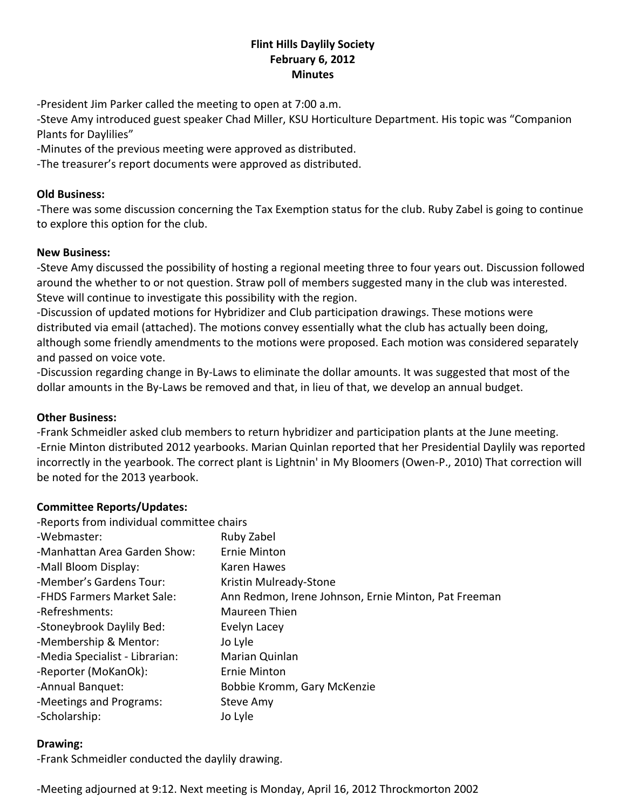### **Flint Hills Daylily Society February 6, 2012 Minutes**

‐President Jim Parker called the meeting to open at 7:00 a.m.

‐Steve Amy introduced guest speaker Chad Miller, KSU Horticulture Department. His topic was "Companion Plants for Daylilies"

‐Minutes of the previous meeting were approved as distributed.

‐The treasurer's report documents were approved as distributed.

#### **Old Business:**

‐There was some discussion concerning the Tax Exemption status for the club. Ruby Zabel is going to continue to explore this option for the club.

#### **New Business:**

‐Steve Amy discussed the possibility of hosting a regional meeting three to four years out. Discussion followed around the whether to or not question. Straw poll of members suggested many in the club was interested. Steve will continue to investigate this possibility with the region.

‐Discussion of updated motions for Hybridizer and Club participation drawings. These motions were distributed via email (attached). The motions convey essentially what the club has actually been doing, although some friendly amendments to the motions were proposed. Each motion was considered separately and passed on voice vote.

‐Discussion regarding change in By‐Laws to eliminate the dollar amounts. It was suggested that most of the dollar amounts in the By‐Laws be removed and that, in lieu of that, we develop an annual budget.

#### **Other Business:**

‐Frank Schmeidler asked club members to return hybridizer and participation plants at the June meeting. ‐Ernie Minton distributed 2012 yearbooks. Marian Quinlan reported that her Presidential Daylily was reported incorrectly in the yearbook. The correct plant is Lightnin' in My Bloomers (Owen‐P., 2010) That correction will be noted for the 2013 yearbook.

### **Committee Reports/Updates:**

| -Reports from individual committee chairs            |
|------------------------------------------------------|
| Ruby Zabel                                           |
| <b>Ernie Minton</b>                                  |
| <b>Karen Hawes</b>                                   |
| Kristin Mulready-Stone                               |
| Ann Redmon, Irene Johnson, Ernie Minton, Pat Freeman |
| Maureen Thien                                        |
| Evelyn Lacey                                         |
| Jo Lyle                                              |
| Marian Quinlan                                       |
| Ernie Minton                                         |
| Bobbie Kromm, Gary McKenzie                          |
| Steve Amy                                            |
| Jo Lyle                                              |
|                                                      |

#### **Drawing:**

‐Frank Schmeidler conducted the daylily drawing.

‐Meeting adjourned at 9:12. Next meeting is Monday, April 16, 2012 Throckmorton 2002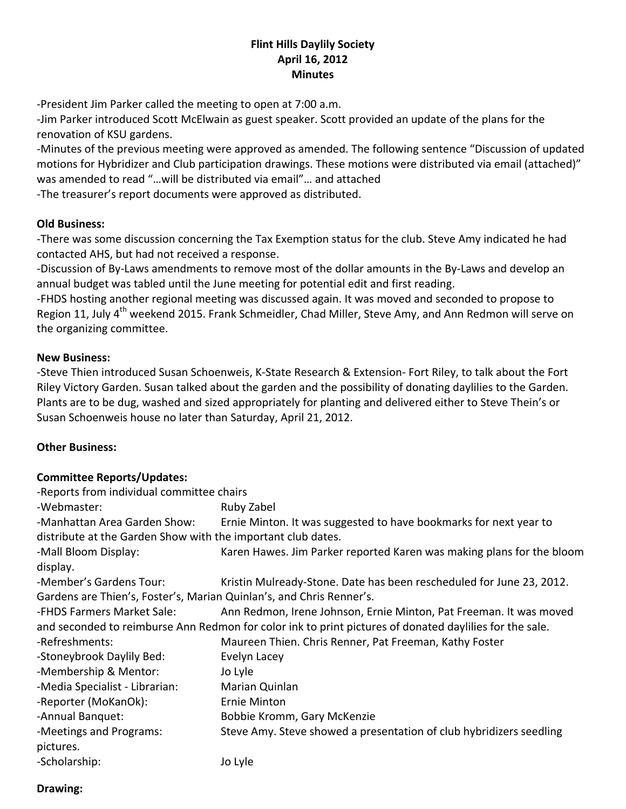### **Flint Hills Daylily Society April 16, 2012 Minutes**

‐President Jim Parker called the meeting to open at 7:00 a.m.

‐Jim Parker introduced Scott McElwain as guest speaker. Scott provided an update of the plans for the renovation of KSU gardens.

‐Minutes of the previous meeting were approved as amended. The following sentence "Discussion of updated motions for Hybridizer and Club participation drawings. These motions were distributed via email (attached)" was amended to read "…will be distributed via email"… and attached ‐The treasurer's report documents were approved as distributed.

#### **Old Business:**

‐There was some discussion concerning the Tax Exemption status for the club. Steve Amy indicated he had contacted AHS, but had not received a response.

‐Discussion of By‐Laws amendments to remove most of the dollar amounts in the By‐Laws and develop an annual budget was tabled until the June meeting for potential edit and first reading.

‐FHDS hosting another regional meeting was discussed again. It was moved and seconded to propose to Region 11, July 4<sup>th</sup> weekend 2015. Frank Schmeidler, Chad Miller, Steve Amy, and Ann Redmon will serve on the organizing committee.

#### **New Business:**

‐Steve Thien introduced Susan Schoenweis, K‐State Research & Extension‐ Fort Riley, to talk about the Fort Riley Victory Garden. Susan talked about the garden and the possibility of donating daylilies to the Garden. Plants are to be dug, washed and sized appropriately for planting and delivered either to Steve Thein's or Susan Schoenweis house no later than Saturday, April 21, 2012.

### **Other Business:**

### **Committee Reports/Updates:**

| -Reports from individual committee chairs                                                               |                                                                       |  |
|---------------------------------------------------------------------------------------------------------|-----------------------------------------------------------------------|--|
| -Webmaster:                                                                                             | Ruby Zabel                                                            |  |
| -Manhattan Area Garden Show:                                                                            | Ernie Minton. It was suggested to have bookmarks for next year to     |  |
| distribute at the Garden Show with the important club dates.                                            |                                                                       |  |
| -Mall Bloom Display:                                                                                    | Karen Hawes. Jim Parker reported Karen was making plans for the bloom |  |
| display.                                                                                                |                                                                       |  |
| -Member's Gardens Tour:                                                                                 | Kristin Mulready-Stone. Date has been rescheduled for June 23, 2012.  |  |
| Gardens are Thien's, Foster's, Marian Quinlan's, and Chris Renner's.                                    |                                                                       |  |
| -FHDS Farmers Market Sale:                                                                              | Ann Redmon, Irene Johnson, Ernie Minton, Pat Freeman. It was moved    |  |
| and seconded to reimburse Ann Redmon for color ink to print pictures of donated daylilies for the sale. |                                                                       |  |
| -Refreshments:                                                                                          | Maureen Thien. Chris Renner, Pat Freeman, Kathy Foster                |  |
| -Stoneybrook Daylily Bed:                                                                               | Evelyn Lacey                                                          |  |
| -Membership & Mentor:                                                                                   | Jo Lyle                                                               |  |
| -Media Specialist - Librarian:                                                                          | Marian Quinlan                                                        |  |
| -Reporter (MoKanOk):                                                                                    | <b>Ernie Minton</b>                                                   |  |
| -Annual Banquet:                                                                                        | Bobbie Kromm, Gary McKenzie                                           |  |
| -Meetings and Programs:                                                                                 | Steve Amy. Steve showed a presentation of club hybridizers seedling   |  |
| pictures.                                                                                               |                                                                       |  |
| -Scholarship:                                                                                           | Jo Lyle                                                               |  |

### **Drawing:**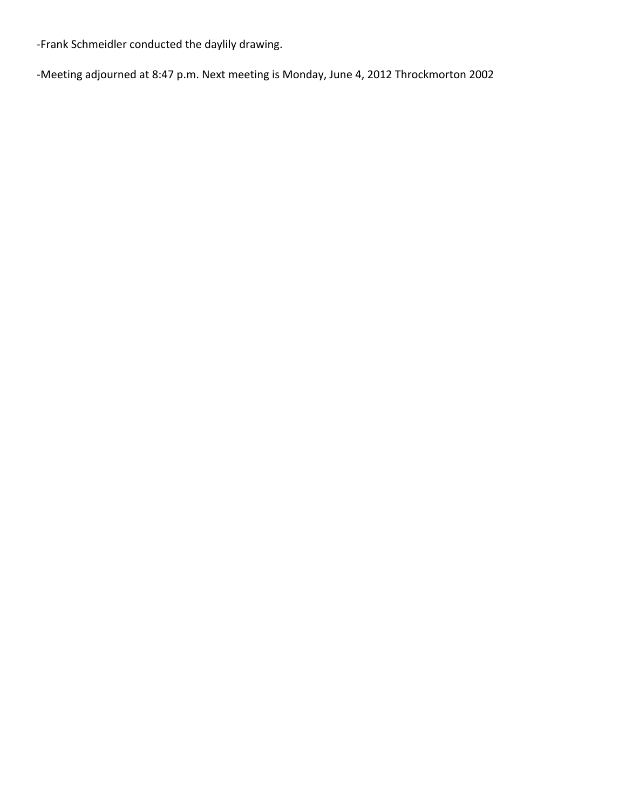‐Frank Schmeidler conducted the daylily drawing.

‐Meeting adjourned at 8:47 p.m. Next meeting is Monday, June 4, 2012 Throckmorton 2002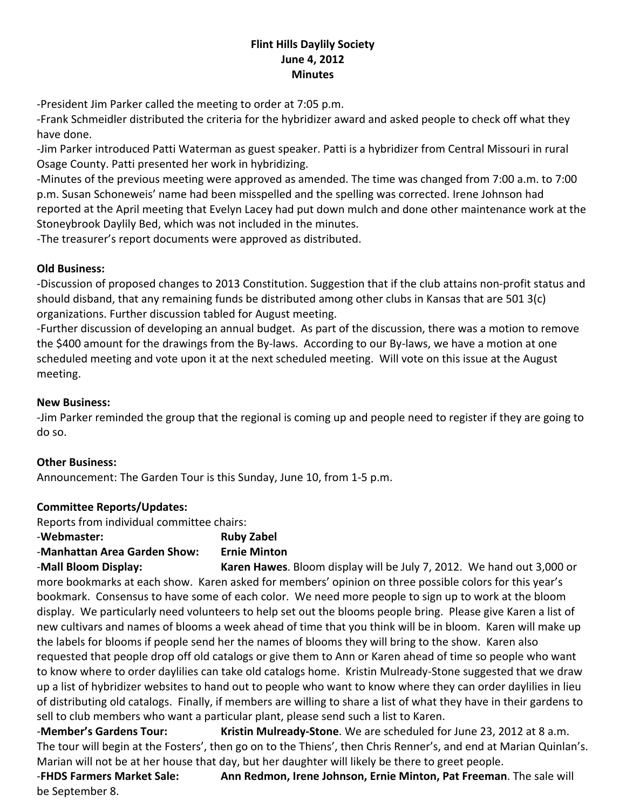### **Flint Hills Daylily Society June 4, 2012 Minutes**

‐President Jim Parker called the meeting to order at 7:05 p.m.

‐Frank Schmeidler distributed the criteria for the hybridizer award and asked people to check off what they have done.

‐Jim Parker introduced Patti Waterman as guest speaker. Patti is a hybridizer from Central Missouri in rural Osage County. Patti presented her work in hybridizing.

‐Minutes of the previous meeting were approved as amended. The time was changed from 7:00 a.m. to 7:00 p.m. Susan Schoneweis' name had been misspelled and the spelling was corrected. Irene Johnson had reported at the April meeting that Evelyn Lacey had put down mulch and done other maintenance work at the Stoneybrook Daylily Bed, which was not included in the minutes.

‐The treasurer's report documents were approved as distributed.

## **Old Business:**

‐Discussion of proposed changes to 2013 Constitution. Suggestion that if the club attains non‐profit status and should disband, that any remaining funds be distributed among other clubs in Kansas that are 501 3(c) organizations. Further discussion tabled for August meeting.

‐Further discussion of developing an annual budget. As part of the discussion, there was a motion to remove the \$400 amount for the drawings from the By‐laws. According to our By‐laws, we have a motion at one scheduled meeting and vote upon it at the next scheduled meeting. Will vote on this issue at the August meeting.

### **New Business:**

‐Jim Parker reminded the group that the regional is coming up and people need to register if they are going to do so.

### **Other Business:**

Announcement: The Garden Tour is this Sunday, June 10, from 1‐5 p.m.

# **Committee Reports/Updates:**

Reports from individual committee chairs:

‐**Webmaster: Ruby Zabel**

# ‐**Manhattan Area Garden Show: Ernie Minton**

‐**Mall Bloom Display: Karen Hawes**. Bloom display will be July 7, 2012. We hand out 3,000 or more bookmarks at each show. Karen asked for members' opinion on three possible colors for this year's bookmark. Consensus to have some of each color. We need more people to sign up to work at the bloom display. We particularly need volunteers to help set out the blooms people bring. Please give Karen a list of new cultivars and names of blooms a week ahead of time that you think will be in bloom. Karen will make up the labels for blooms if people send her the names of blooms they will bring to the show. Karen also requested that people drop off old catalogs or give them to Ann or Karen ahead of time so people who want to know where to order daylilies can take old catalogs home. Kristin Mulready‐Stone suggested that we draw up a list of hybridizer websites to hand out to people who want to know where they can order daylilies in lieu of distributing old catalogs. Finally, if members are willing to share a list of what they have in their gardens to sell to club members who want a particular plant, please send such a list to Karen.

‐**Member's Gardens Tour: Kristin Mulready‐Stone**. We are scheduled for June 23, 2012 at 8 a.m. The tour will begin at the Fosters', then go on to the Thiens', then Chris Renner's, and end at Marian Quinlan's. Marian will not be at her house that day, but her daughter will likely be there to greet people.

‐**FHDS Farmers Market Sale: Ann Redmon, Irene Johnson, Ernie Minton, Pat Freeman**. The sale will be September 8.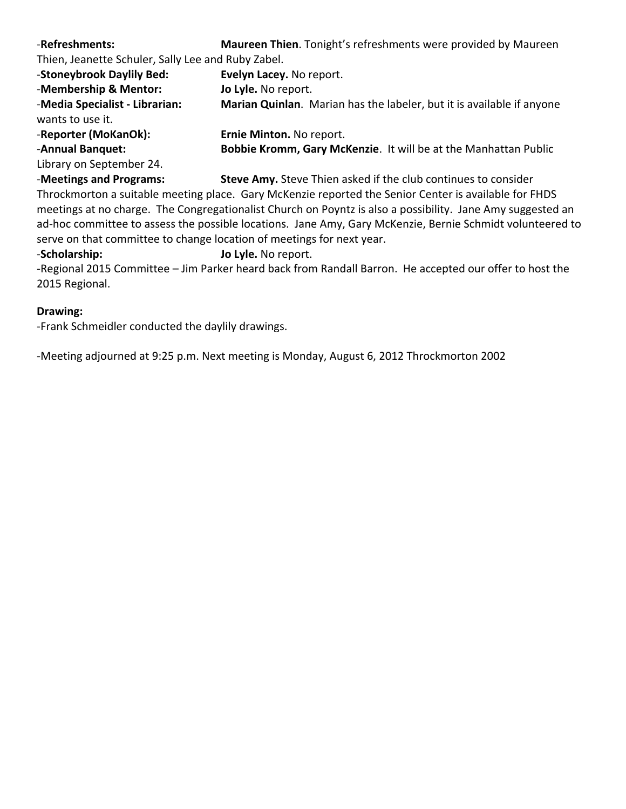| -Refreshments:                                     | Maureen Thien. Tonight's refreshments were provided by Maureen        |
|----------------------------------------------------|-----------------------------------------------------------------------|
| Thien, Jeanette Schuler, Sally Lee and Ruby Zabel. |                                                                       |
| -Stoneybrook Daylily Bed:                          | Evelyn Lacey. No report.                                              |
| -Membership & Mentor:                              | Jo Lyle. No report.                                                   |
| -Media Specialist - Librarian:<br>wants to use it. | Marian Quinlan. Marian has the labeler, but it is available if anyone |
| -Reporter (MoKanOk):                               | Ernie Minton. No report.                                              |
| -Annual Banquet:                                   | Bobbie Kromm, Gary McKenzie. It will be at the Manhattan Public       |
| Library on September 24.                           |                                                                       |
| -Meetings and Programs:                            | <b>Steve Amy.</b> Steve Thien asked if the club continues to consider |

**rograms: budge Steve Amy.** Steve Thien asked if the club continues to co Throckmorton a suitable meeting place. Gary McKenzie reported the Senior Center is available for FHDS meetings at no charge. The Congregationalist Church on Poyntz is also a possibility. Jane Amy suggested an ad-hoc committee to assess the possible locations. Jane Amy, Gary McKenzie, Bernie Schmidt volunteered to serve on that committee to change location of meetings for next year.

‐**Scholarship: Jo Lyle.** No report.

‐Regional 2015 Committee – Jim Parker heard back from Randall Barron. He accepted our offer to host the 2015 Regional.

#### **Drawing:**

‐Frank Schmeidler conducted the daylily drawings.

‐Meeting adjourned at 9:25 p.m. Next meeting is Monday, August 6, 2012 Throckmorton 2002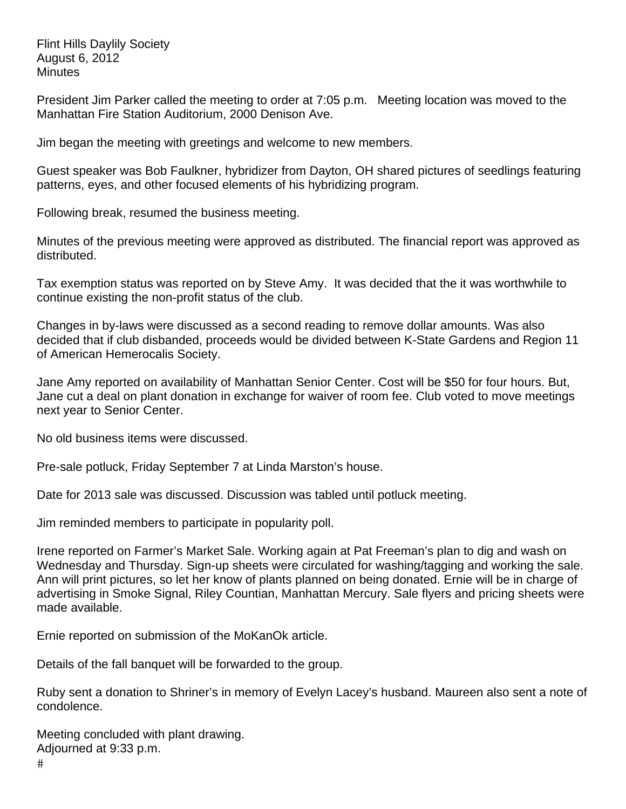Flint Hills Daylily Society August 6, 2012 **Minutes** 

President Jim Parker called the meeting to order at 7:05 p.m. Meeting location was moved to the Manhattan Fire Station Auditorium, 2000 Denison Ave.

Jim began the meeting with greetings and welcome to new members.

Guest speaker was Bob Faulkner, hybridizer from Dayton, OH shared pictures of seedlings featuring patterns, eyes, and other focused elements of his hybridizing program.

Following break, resumed the business meeting.

Minutes of the previous meeting were approved as distributed. The financial report was approved as distributed.

Tax exemption status was reported on by Steve Amy. It was decided that the it was worthwhile to continue existing the non-profit status of the club.

Changes in by-laws were discussed as a second reading to remove dollar amounts. Was also decided that if club disbanded, proceeds would be divided between K-State Gardens and Region 11 of American Hemerocalis Society.

Jane Amy reported on availability of Manhattan Senior Center. Cost will be \$50 for four hours. But, Jane cut a deal on plant donation in exchange for waiver of room fee. Club voted to move meetings next year to Senior Center.

No old business items were discussed.

Pre-sale potluck, Friday September 7 at Linda Marston's house.

Date for 2013 sale was discussed. Discussion was tabled until potluck meeting.

Jim reminded members to participate in popularity poll.

Irene reported on Farmer's Market Sale. Working again at Pat Freeman's plan to dig and wash on Wednesday and Thursday. Sign-up sheets were circulated for washing/tagging and working the sale. Ann will print pictures, so let her know of plants planned on being donated. Ernie will be in charge of advertising in Smoke Signal, Riley Countian, Manhattan Mercury. Sale flyers and pricing sheets were made available.

Ernie reported on submission of the MoKanOk article.

Details of the fall banquet will be forwarded to the group.

Ruby sent a donation to Shriner's in memory of Evelyn Lacey's husband. Maureen also sent a note of condolence.

Meeting concluded with plant drawing. Adjourned at 9:33 p.m.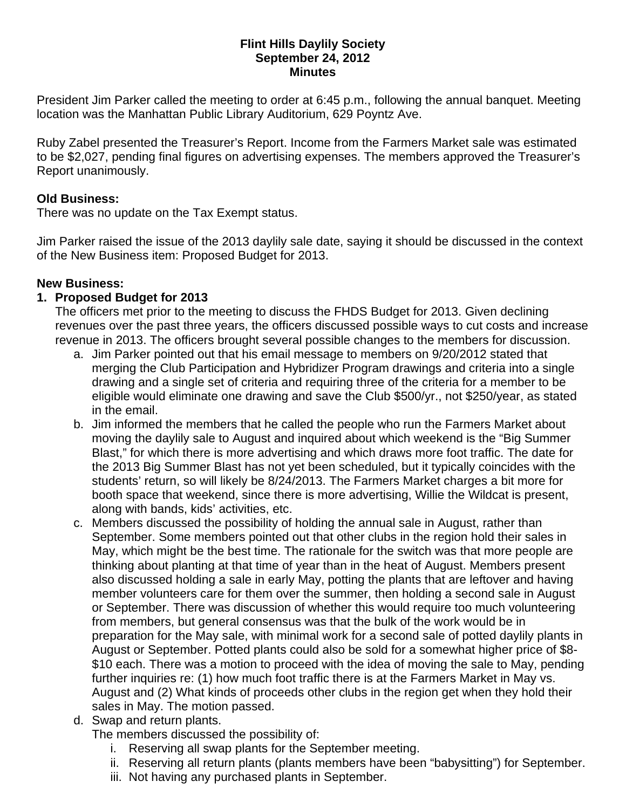### **Flint Hills Daylily Society September 24, 2012 Minutes**

President Jim Parker called the meeting to order at 6:45 p.m., following the annual banquet. Meeting location was the Manhattan Public Library Auditorium, 629 Poyntz Ave.

Ruby Zabel presented the Treasurer's Report. Income from the Farmers Market sale was estimated to be \$2,027, pending final figures on advertising expenses. The members approved the Treasurer's Report unanimously.

## **Old Business:**

There was no update on the Tax Exempt status.

Jim Parker raised the issue of the 2013 daylily sale date, saying it should be discussed in the context of the New Business item: Proposed Budget for 2013.

# **New Business:**

# **1. Proposed Budget for 2013**

The officers met prior to the meeting to discuss the FHDS Budget for 2013. Given declining revenues over the past three years, the officers discussed possible ways to cut costs and increase revenue in 2013. The officers brought several possible changes to the members for discussion.

- a. Jim Parker pointed out that his email message to members on 9/20/2012 stated that merging the Club Participation and Hybridizer Program drawings and criteria into a single drawing and a single set of criteria and requiring three of the criteria for a member to be eligible would eliminate one drawing and save the Club \$500/yr., not \$250/year, as stated in the email.
- b. Jim informed the members that he called the people who run the Farmers Market about moving the daylily sale to August and inquired about which weekend is the "Big Summer Blast," for which there is more advertising and which draws more foot traffic. The date for the 2013 Big Summer Blast has not yet been scheduled, but it typically coincides with the students' return, so will likely be 8/24/2013. The Farmers Market charges a bit more for booth space that weekend, since there is more advertising, Willie the Wildcat is present, along with bands, kids' activities, etc.
- c. Members discussed the possibility of holding the annual sale in August, rather than September. Some members pointed out that other clubs in the region hold their sales in May, which might be the best time. The rationale for the switch was that more people are thinking about planting at that time of year than in the heat of August. Members present also discussed holding a sale in early May, potting the plants that are leftover and having member volunteers care for them over the summer, then holding a second sale in August or September. There was discussion of whether this would require too much volunteering from members, but general consensus was that the bulk of the work would be in preparation for the May sale, with minimal work for a second sale of potted daylily plants in August or September. Potted plants could also be sold for a somewhat higher price of \$8- \$10 each. There was a motion to proceed with the idea of moving the sale to May, pending further inquiries re: (1) how much foot traffic there is at the Farmers Market in May vs. August and (2) What kinds of proceeds other clubs in the region get when they hold their sales in May. The motion passed.
- d. Swap and return plants.

The members discussed the possibility of:

- i. Reserving all swap plants for the September meeting.
- ii. Reserving all return plants (plants members have been "babysitting") for September.
- iii. Not having any purchased plants in September.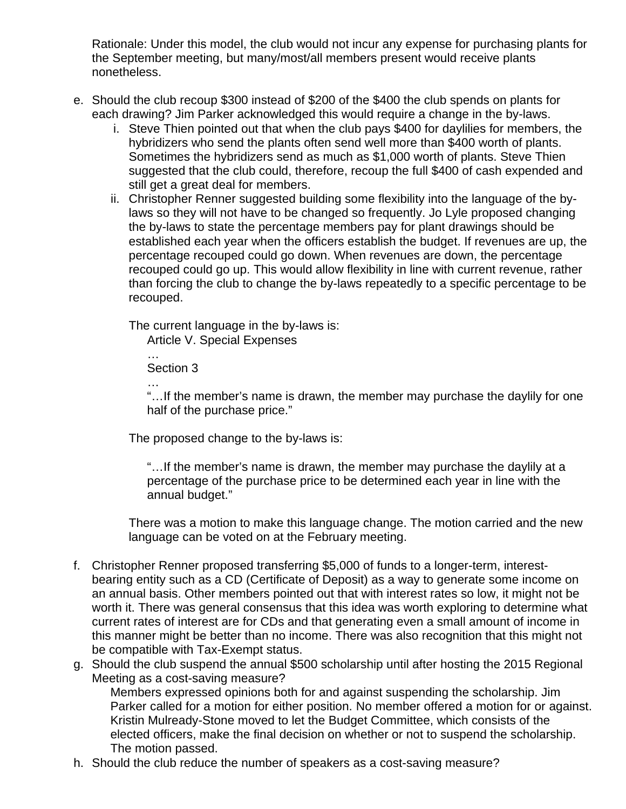Rationale: Under this model, the club would not incur any expense for purchasing plants for the September meeting, but many/most/all members present would receive plants nonetheless.

- e. Should the club recoup \$300 instead of \$200 of the \$400 the club spends on plants for each drawing? Jim Parker acknowledged this would require a change in the by-laws.
	- i. Steve Thien pointed out that when the club pays \$400 for daylilies for members, the hybridizers who send the plants often send well more than \$400 worth of plants. Sometimes the hybridizers send as much as \$1,000 worth of plants. Steve Thien suggested that the club could, therefore, recoup the full \$400 of cash expended and still get a great deal for members.
	- ii. Christopher Renner suggested building some flexibility into the language of the bylaws so they will not have to be changed so frequently. Jo Lyle proposed changing the by-laws to state the percentage members pay for plant drawings should be established each year when the officers establish the budget. If revenues are up, the percentage recouped could go down. When revenues are down, the percentage recouped could go up. This would allow flexibility in line with current revenue, rather than forcing the club to change the by-laws repeatedly to a specific percentage to be recouped.

The current language in the by-laws is: Article V. Special Expenses

… Section 3

…

"…If the member's name is drawn, the member may purchase the daylily for one half of the purchase price."

The proposed change to the by-laws is:

"…If the member's name is drawn, the member may purchase the daylily at a percentage of the purchase price to be determined each year in line with the annual budget."

There was a motion to make this language change. The motion carried and the new language can be voted on at the February meeting.

- f. Christopher Renner proposed transferring \$5,000 of funds to a longer-term, interestbearing entity such as a CD (Certificate of Deposit) as a way to generate some income on an annual basis. Other members pointed out that with interest rates so low, it might not be worth it. There was general consensus that this idea was worth exploring to determine what current rates of interest are for CDs and that generating even a small amount of income in this manner might be better than no income. There was also recognition that this might not be compatible with Tax-Exempt status.
- g. Should the club suspend the annual \$500 scholarship until after hosting the 2015 Regional Meeting as a cost-saving measure?

Members expressed opinions both for and against suspending the scholarship. Jim Parker called for a motion for either position. No member offered a motion for or against. Kristin Mulready-Stone moved to let the Budget Committee, which consists of the elected officers, make the final decision on whether or not to suspend the scholarship. The motion passed.

h. Should the club reduce the number of speakers as a cost-saving measure?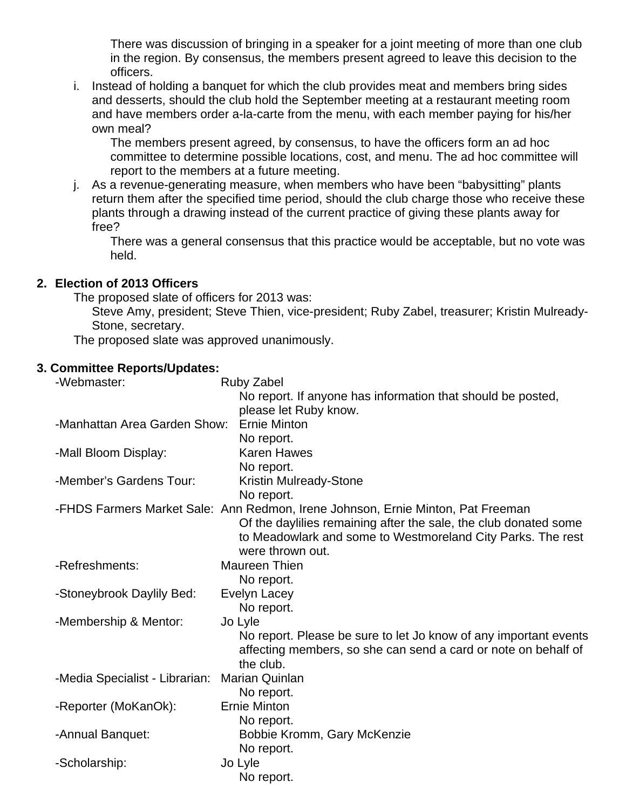There was discussion of bringing in a speaker for a joint meeting of more than one club in the region. By consensus, the members present agreed to leave this decision to the officers.

i. Instead of holding a banquet for which the club provides meat and members bring sides and desserts, should the club hold the September meeting at a restaurant meeting room and have members order a-la-carte from the menu, with each member paying for his/her own meal?

The members present agreed, by consensus, to have the officers form an ad hoc committee to determine possible locations, cost, and menu. The ad hoc committee will report to the members at a future meeting.

j. As a revenue-generating measure, when members who have been "babysitting" plants return them after the specified time period, should the club charge those who receive these plants through a drawing instead of the current practice of giving these plants away for free?

There was a general consensus that this practice would be acceptable, but no vote was held.

## **2. Election of 2013 Officers**

The proposed slate of officers for 2013 was:

Steve Amy, president; Steve Thien, vice-president; Ruby Zabel, treasurer; Kristin Mulready-Stone, secretary.

The proposed slate was approved unanimously.

### **3. Committee Reports/Updates:**

| -Webmaster:                    | <b>Ruby Zabel</b>                                                               |
|--------------------------------|---------------------------------------------------------------------------------|
|                                | No report. If anyone has information that should be posted,                     |
|                                | please let Ruby know.                                                           |
| -Manhattan Area Garden Show:   | <b>Ernie Minton</b>                                                             |
|                                | No report.                                                                      |
| -Mall Bloom Display:           | <b>Karen Hawes</b>                                                              |
|                                | No report.                                                                      |
| -Member's Gardens Tour:        | Kristin Mulready-Stone                                                          |
|                                | No report.                                                                      |
|                                | -FHDS Farmers Market Sale: Ann Redmon, Irene Johnson, Ernie Minton, Pat Freeman |
|                                | Of the daylilies remaining after the sale, the club donated some                |
|                                | to Meadowlark and some to Westmoreland City Parks. The rest                     |
|                                | were thrown out.                                                                |
| -Refreshments:                 | Maureen Thien                                                                   |
|                                | No report.                                                                      |
| -Stoneybrook Daylily Bed:      | Evelyn Lacey                                                                    |
|                                | No report.                                                                      |
| -Membership & Mentor:          | Jo Lyle                                                                         |
|                                | No report. Please be sure to let Jo know of any important events                |
|                                | affecting members, so she can send a card or note on behalf of                  |
|                                | the club.                                                                       |
| -Media Specialist - Librarian: | <b>Marian Quinlan</b>                                                           |
|                                | No report.                                                                      |
| -Reporter (MoKanOk):           | <b>Ernie Minton</b>                                                             |
|                                | No report.                                                                      |
| -Annual Banquet:               | Bobbie Kromm, Gary McKenzie                                                     |
|                                | No report.                                                                      |
| -Scholarship:                  | Jo Lyle                                                                         |
|                                | No report.                                                                      |